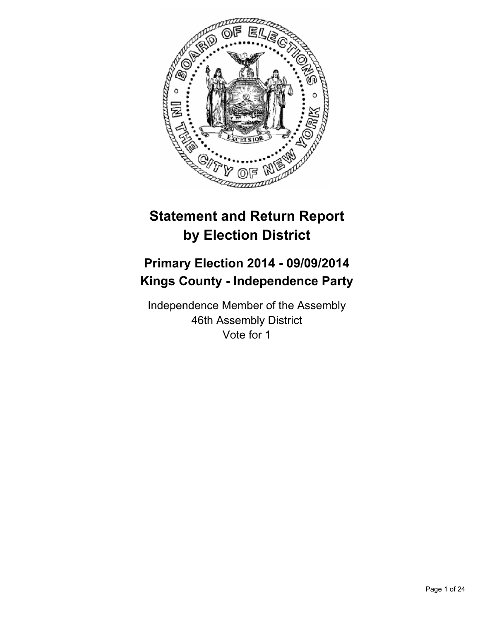

# **Statement and Return Report by Election District**

# **Primary Election 2014 - 09/09/2014 Kings County - Independence Party**

Independence Member of the Assembly 46th Assembly District Vote for 1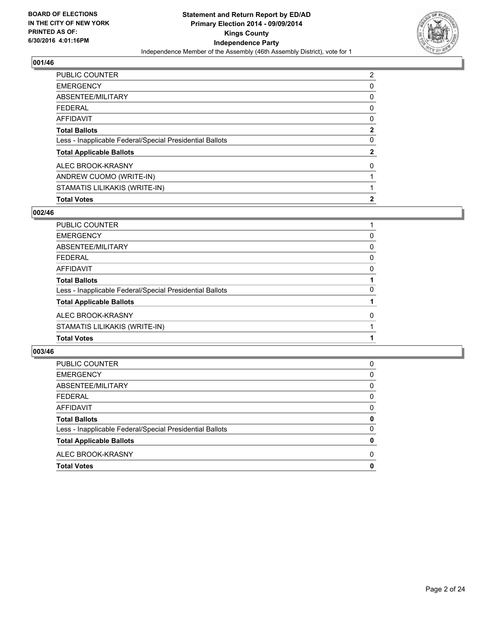

| <b>EMERGENCY</b>                                         | 0            |
|----------------------------------------------------------|--------------|
| ABSENTEE/MILITARY                                        | 0            |
| <b>FEDERAL</b>                                           | 0            |
| <b>AFFIDAVIT</b>                                         | 0            |
| <b>Total Ballots</b>                                     | $\mathbf{2}$ |
| Less - Inapplicable Federal/Special Presidential Ballots | 0            |
| <b>Total Applicable Ballots</b>                          | $\mathbf{2}$ |
| ALEC BROOK-KRASNY                                        | 0            |
| ANDREW CUOMO (WRITE-IN)                                  |              |
| STAMATIS LILIKAKIS (WRITE-IN)                            |              |
| <b>Total Votes</b>                                       | $\mathbf{2}$ |

## **002/46**

| PUBLIC COUNTER                                           |          |
|----------------------------------------------------------|----------|
| <b>EMERGENCY</b>                                         | 0        |
| ABSENTEE/MILITARY                                        | 0        |
| <b>FEDERAL</b>                                           | 0        |
| <b>AFFIDAVIT</b>                                         | $\Omega$ |
| <b>Total Ballots</b>                                     |          |
| Less - Inapplicable Federal/Special Presidential Ballots | 0        |
| <b>Total Applicable Ballots</b>                          |          |
| ALEC BROOK-KRASNY                                        | 0        |
| STAMATIS LILIKAKIS (WRITE-IN)                            |          |
| <b>Total Votes</b>                                       |          |

| PUBLIC COUNTER                                           | 0 |
|----------------------------------------------------------|---|
| <b>EMERGENCY</b>                                         | 0 |
| ABSENTEE/MILITARY                                        | 0 |
| <b>FEDERAL</b>                                           | 0 |
| <b>AFFIDAVIT</b>                                         | 0 |
| <b>Total Ballots</b>                                     | 0 |
| Less - Inapplicable Federal/Special Presidential Ballots | 0 |
| <b>Total Applicable Ballots</b>                          | 0 |
| ALEC BROOK-KRASNY                                        | 0 |
| <b>Total Votes</b>                                       | 0 |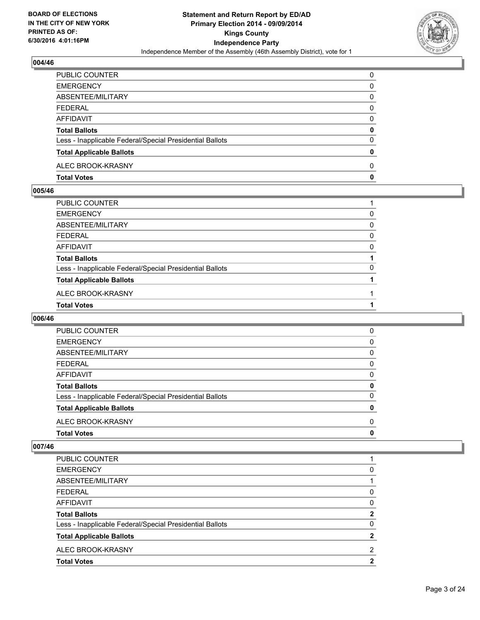

| PUBLIC COUNTER                                           | 0 |
|----------------------------------------------------------|---|
| <b>EMERGENCY</b>                                         | 0 |
| ABSENTEE/MILITARY                                        | 0 |
| FEDERAL                                                  | 0 |
| AFFIDAVIT                                                | 0 |
| <b>Total Ballots</b>                                     | 0 |
| Less - Inapplicable Federal/Special Presidential Ballots | 0 |
| <b>Total Applicable Ballots</b>                          | 0 |
| ALEC BROOK-KRASNY                                        | 0 |
| <b>Total Votes</b>                                       | 0 |

## **005/46**

| PUBLIC COUNTER                                           |   |
|----------------------------------------------------------|---|
| EMERGENCY                                                | 0 |
| ABSENTEE/MILITARY                                        | 0 |
| FEDERAL                                                  | 0 |
| AFFIDAVIT                                                | 0 |
| <b>Total Ballots</b>                                     |   |
| Less - Inapplicable Federal/Special Presidential Ballots | 0 |
| <b>Total Applicable Ballots</b>                          |   |
| ALEC BROOK-KRASNY                                        |   |
| <b>Total Votes</b>                                       |   |
|                                                          |   |

## **006/46**

| <b>PUBLIC COUNTER</b>                                    | 0 |
|----------------------------------------------------------|---|
| <b>EMERGENCY</b>                                         | 0 |
| ABSENTEE/MILITARY                                        | 0 |
| <b>FEDERAL</b>                                           | 0 |
| AFFIDAVIT                                                | 0 |
| <b>Total Ballots</b>                                     | 0 |
| Less - Inapplicable Federal/Special Presidential Ballots | 0 |
| <b>Total Applicable Ballots</b>                          | 0 |
| ALEC BROOK-KRASNY                                        | 0 |
| <b>Total Votes</b>                                       | 0 |
|                                                          |   |

| ALEC BROOK-KRASNY                                        | 2            |
|----------------------------------------------------------|--------------|
| <b>Total Applicable Ballots</b>                          | 2            |
| Less - Inapplicable Federal/Special Presidential Ballots | 0            |
| <b>Total Ballots</b>                                     | $\mathbf{2}$ |
| <b>AFFIDAVIT</b>                                         | 0            |
| <b>FEDERAL</b>                                           | 0            |
| ABSENTEE/MILITARY                                        |              |
| <b>EMERGENCY</b>                                         | 0            |
| PUBLIC COUNTER                                           |              |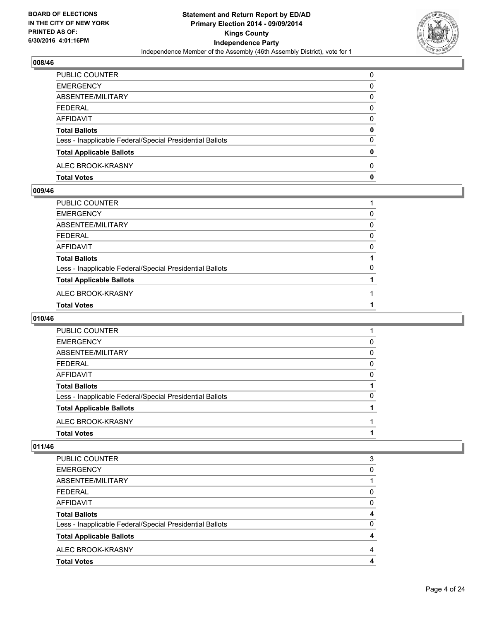

| PUBLIC COUNTER                                           | 0 |
|----------------------------------------------------------|---|
| <b>EMERGENCY</b>                                         | 0 |
| ABSENTEE/MILITARY                                        | 0 |
| FEDERAL                                                  | 0 |
| AFFIDAVIT                                                | 0 |
| <b>Total Ballots</b>                                     | 0 |
| Less - Inapplicable Federal/Special Presidential Ballots | 0 |
| <b>Total Applicable Ballots</b>                          | 0 |
| ALEC BROOK-KRASNY                                        | 0 |
| <b>Total Votes</b>                                       | 0 |

## **009/46**

| PUBLIC COUNTER                                           |   |
|----------------------------------------------------------|---|
| EMERGENCY                                                | 0 |
| ABSENTEE/MILITARY                                        | 0 |
| FEDERAL                                                  | 0 |
| AFFIDAVIT                                                | 0 |
| Total Ballots                                            |   |
| Less - Inapplicable Federal/Special Presidential Ballots | 0 |
| <b>Total Applicable Ballots</b>                          |   |
| ALEC BROOK-KRASNY                                        |   |
| <b>Total Votes</b>                                       |   |
|                                                          |   |

## **010/46**

| PUBLIC COUNTER                                           |   |
|----------------------------------------------------------|---|
| <b>EMERGENCY</b>                                         | 0 |
| ABSENTEE/MILITARY                                        | 0 |
| <b>FEDERAL</b>                                           | 0 |
| AFFIDAVIT                                                | 0 |
| <b>Total Ballots</b>                                     |   |
| Less - Inapplicable Federal/Special Presidential Ballots | 0 |
| <b>Total Applicable Ballots</b>                          |   |
| ALEC BROOK-KRASNY                                        |   |
| <b>Total Votes</b>                                       |   |
|                                                          |   |

| PUBLIC COUNTER                                           | 3        |
|----------------------------------------------------------|----------|
| <b>EMERGENCY</b>                                         | 0        |
| ABSENTEE/MILITARY                                        |          |
| <b>FEDERAL</b>                                           | 0        |
| <b>AFFIDAVIT</b>                                         | $\Omega$ |
| <b>Total Ballots</b>                                     | 4        |
| Less - Inapplicable Federal/Special Presidential Ballots | $\Omega$ |
| <b>Total Applicable Ballots</b>                          | 4        |
| ALEC BROOK-KRASNY                                        | 4        |
| <b>Total Votes</b>                                       | 4        |
|                                                          |          |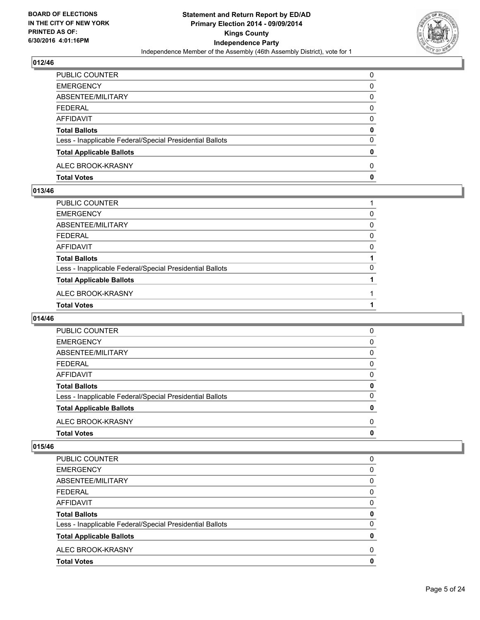

| PUBLIC COUNTER                                           | 0 |
|----------------------------------------------------------|---|
| <b>EMERGENCY</b>                                         | 0 |
| ABSENTEE/MILITARY                                        | 0 |
| FEDERAL                                                  | 0 |
| AFFIDAVIT                                                | 0 |
| <b>Total Ballots</b>                                     | 0 |
| Less - Inapplicable Federal/Special Presidential Ballots | 0 |
| <b>Total Applicable Ballots</b>                          | 0 |
| ALEC BROOK-KRASNY                                        | 0 |
| <b>Total Votes</b>                                       | 0 |

## **013/46**

| PUBLIC COUNTER                                           |   |
|----------------------------------------------------------|---|
| EMERGENCY                                                | 0 |
| ABSENTEE/MILITARY                                        | 0 |
| FEDERAL                                                  | 0 |
| AFFIDAVIT                                                | 0 |
|                                                          |   |
| <b>Total Ballots</b>                                     |   |
| Less - Inapplicable Federal/Special Presidential Ballots | 0 |
| <b>Total Applicable Ballots</b>                          |   |
| ALEC BROOK-KRASNY                                        |   |
| <b>Total Votes</b>                                       |   |

## **014/46**

| <b>Total Votes</b>                                       | 0 |
|----------------------------------------------------------|---|
| ALEC BROOK-KRASNY                                        | 0 |
| <b>Total Applicable Ballots</b>                          | 0 |
| Less - Inapplicable Federal/Special Presidential Ballots | 0 |
| <b>Total Ballots</b>                                     | 0 |
| AFFIDAVIT                                                | 0 |
| FEDERAL                                                  | 0 |
| ABSENTEE/MILITARY                                        | 0 |
| <b>EMERGENCY</b>                                         | 0 |
| PUBLIC COUNTER                                           | 0 |
|                                                          |   |

| PUBLIC COUNTER                                           | 0        |
|----------------------------------------------------------|----------|
| <b>EMERGENCY</b>                                         | 0        |
| ABSENTEE/MILITARY                                        | 0        |
| <b>FEDERAL</b>                                           | 0        |
| <b>AFFIDAVIT</b>                                         | 0        |
| <b>Total Ballots</b>                                     | 0        |
| Less - Inapplicable Federal/Special Presidential Ballots | $\Omega$ |
| <b>Total Applicable Ballots</b>                          | 0        |
| ALEC BROOK-KRASNY                                        | $\Omega$ |
| <b>Total Votes</b>                                       | 0        |
|                                                          |          |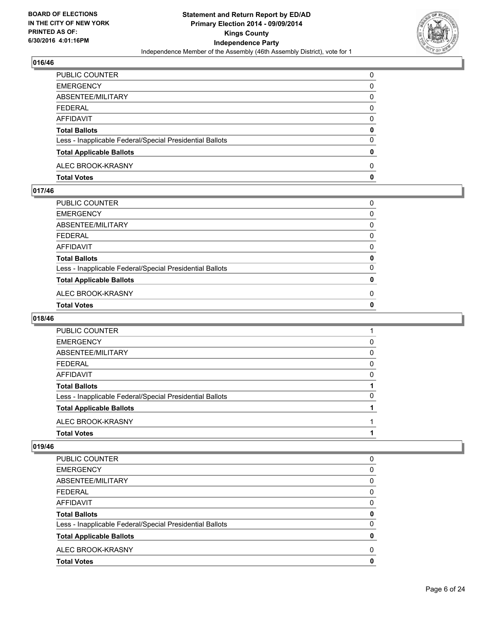

| PUBLIC COUNTER                                           | $\Omega$ |
|----------------------------------------------------------|----------|
| <b>EMERGENCY</b>                                         | 0        |
| ABSENTEE/MILITARY                                        | 0        |
| <b>FEDERAL</b>                                           | 0        |
| <b>AFFIDAVIT</b>                                         | 0        |
| <b>Total Ballots</b>                                     | 0        |
| Less - Inapplicable Federal/Special Presidential Ballots | $\Omega$ |
| <b>Total Applicable Ballots</b>                          | 0        |
| ALEC BROOK-KRASNY                                        | $\Omega$ |
| <b>Total Votes</b>                                       | 0        |

## **017/46**

| PUBLIC COUNTER                                           | 0 |
|----------------------------------------------------------|---|
| EMERGENCY                                                | 0 |
| ABSENTEE/MILITARY                                        | 0 |
| FEDERAL                                                  | 0 |
| AFFIDAVIT                                                | 0 |
| <b>Total Ballots</b>                                     | 0 |
| Less - Inapplicable Federal/Special Presidential Ballots | 0 |
| <b>Total Applicable Ballots</b>                          | 0 |
| ALEC BROOK-KRASNY                                        | 0 |
| <b>Total Votes</b>                                       | 0 |
|                                                          |   |

## **018/46**

| PUBLIC COUNTER                                           |          |
|----------------------------------------------------------|----------|
| <b>EMERGENCY</b>                                         | 0        |
| ABSENTEE/MILITARY                                        | 0        |
| <b>FEDERAL</b>                                           | 0        |
| AFFIDAVIT                                                | $\Omega$ |
| <b>Total Ballots</b>                                     |          |
| Less - Inapplicable Federal/Special Presidential Ballots | 0        |
| <b>Total Applicable Ballots</b>                          |          |
| ALEC BROOK-KRASNY                                        |          |
| <b>Total Votes</b>                                       |          |
|                                                          |          |

| PUBLIC COUNTER                                           | 0 |
|----------------------------------------------------------|---|
| <b>EMERGENCY</b>                                         | 0 |
| ABSENTEE/MILITARY                                        | 0 |
| <b>FEDERAL</b>                                           | 0 |
| AFFIDAVIT                                                | 0 |
| <b>Total Ballots</b>                                     | 0 |
| Less - Inapplicable Federal/Special Presidential Ballots | 0 |
| <b>Total Applicable Ballots</b>                          | 0 |
| ALEC BROOK-KRASNY                                        | 0 |
| <b>Total Votes</b>                                       | 0 |
|                                                          |   |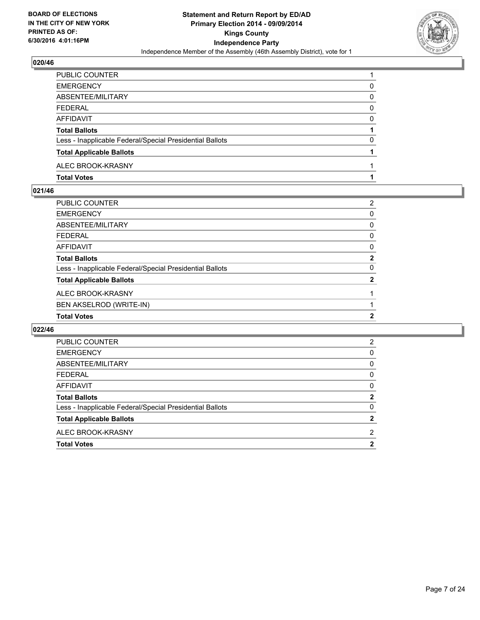

| PUBLIC COUNTER                                           |   |
|----------------------------------------------------------|---|
| <b>EMERGENCY</b>                                         | 0 |
| ABSENTEE/MILITARY                                        | 0 |
| FEDERAL                                                  | 0 |
| AFFIDAVIT                                                | 0 |
| <b>Total Ballots</b>                                     |   |
| Less - Inapplicable Federal/Special Presidential Ballots | 0 |
| <b>Total Applicable Ballots</b>                          |   |
| ALEC BROOK-KRASNY                                        |   |
| <b>Total Votes</b>                                       |   |

#### **021/46**

| PUBLIC COUNTER                                           | 2 |
|----------------------------------------------------------|---|
| <b>EMERGENCY</b>                                         | 0 |
| <b>ABSENTEE/MILITARY</b>                                 | 0 |
| <b>FEDERAL</b>                                           | 0 |
| <b>AFFIDAVIT</b>                                         | 0 |
| <b>Total Ballots</b>                                     | 2 |
| Less - Inapplicable Federal/Special Presidential Ballots | 0 |
| <b>Total Applicable Ballots</b>                          | 2 |
| ALEC BROOK-KRASNY                                        |   |
| BEN AKSELROD (WRITE-IN)                                  |   |
| <b>Total Votes</b>                                       | 2 |

| PUBLIC COUNTER                                           | 2            |
|----------------------------------------------------------|--------------|
| <b>EMERGENCY</b>                                         | 0            |
| ABSENTEE/MILITARY                                        | 0            |
| <b>FEDERAL</b>                                           | 0            |
| <b>AFFIDAVIT</b>                                         | 0            |
| <b>Total Ballots</b>                                     | $\mathbf{2}$ |
| Less - Inapplicable Federal/Special Presidential Ballots | 0            |
| <b>Total Applicable Ballots</b>                          | $\mathbf{2}$ |
| ALEC BROOK-KRASNY                                        | 2            |
| <b>Total Votes</b>                                       | $\mathbf{2}$ |
|                                                          |              |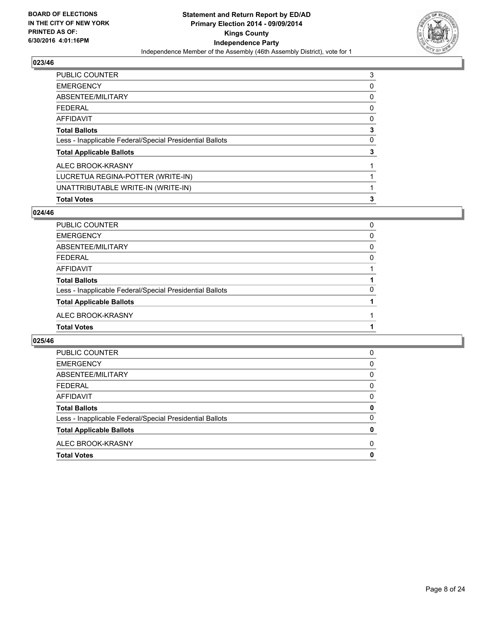

| PUBLIC COUNTER                                           | 3 |
|----------------------------------------------------------|---|
| <b>EMERGENCY</b>                                         | 0 |
| ABSENTEE/MILITARY                                        | 0 |
| <b>FEDERAL</b>                                           | 0 |
| <b>AFFIDAVIT</b>                                         | 0 |
| <b>Total Ballots</b>                                     | 3 |
| Less - Inapplicable Federal/Special Presidential Ballots | 0 |
| <b>Total Applicable Ballots</b>                          | 3 |
| ALEC BROOK-KRASNY                                        |   |
| LUCRETUA REGINA-POTTER (WRITE-IN)                        |   |
| UNATTRIBUTABLE WRITE-IN (WRITE-IN)                       |   |
| <b>Total Votes</b>                                       | 3 |

## **024/46**

| PUBLIC COUNTER                                           | 0 |
|----------------------------------------------------------|---|
| <b>EMERGENCY</b>                                         | 0 |
| ABSENTEE/MILITARY                                        | 0 |
| <b>FEDERAL</b>                                           | 0 |
| AFFIDAVIT                                                |   |
| <b>Total Ballots</b>                                     |   |
| Less - Inapplicable Federal/Special Presidential Ballots | 0 |
| <b>Total Applicable Ballots</b>                          |   |
| ALEC BROOK-KRASNY                                        |   |
| <b>Total Votes</b>                                       |   |
|                                                          |   |

| PUBLIC COUNTER                                           | 0        |
|----------------------------------------------------------|----------|
| <b>EMERGENCY</b>                                         | 0        |
| ABSENTEE/MILITARY                                        | 0        |
| <b>FEDERAL</b>                                           | 0        |
| AFFIDAVIT                                                | 0        |
| <b>Total Ballots</b>                                     | 0        |
| Less - Inapplicable Federal/Special Presidential Ballots | $\Omega$ |
| <b>Total Applicable Ballots</b>                          | 0        |
| ALEC BROOK-KRASNY                                        | 0        |
| <b>Total Votes</b>                                       | 0        |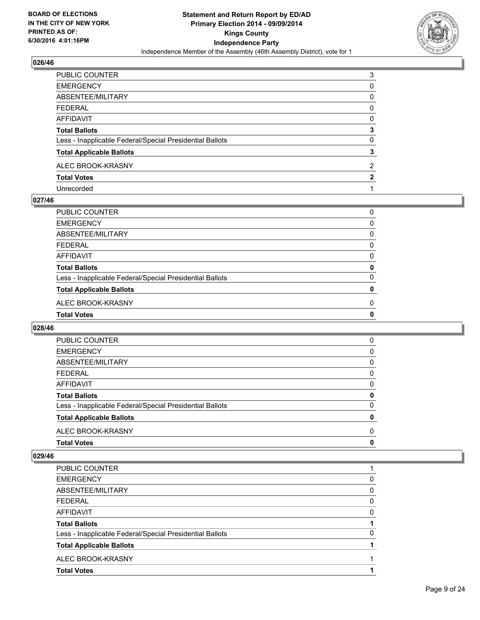

| PUBLIC COUNTER                                           | 3 |
|----------------------------------------------------------|---|
| EMERGENCY                                                | 0 |
| ABSENTEE/MILITARY                                        | 0 |
| FEDERAL                                                  | 0 |
| AFFIDAVIT                                                | 0 |
| <b>Total Ballots</b>                                     | 3 |
| Less - Inapplicable Federal/Special Presidential Ballots | 0 |
| <b>Total Applicable Ballots</b>                          | 3 |
| ALEC BROOK-KRASNY                                        | 2 |
| <b>Total Votes</b>                                       | 2 |
| Unrecorded                                               |   |

#### **027/46**

| PUBLIC COUNTER                                           | 0 |
|----------------------------------------------------------|---|
| <b>EMERGENCY</b>                                         | 0 |
| <b>ABSENTEE/MILITARY</b>                                 | 0 |
| <b>FEDERAL</b>                                           | 0 |
| <b>AFFIDAVIT</b>                                         | 0 |
| <b>Total Ballots</b>                                     | 0 |
| Less - Inapplicable Federal/Special Presidential Ballots | 0 |
| <b>Total Applicable Ballots</b>                          | 0 |
| ALEC BROOK-KRASNY                                        | 0 |
| <b>Total Votes</b>                                       | 0 |
|                                                          |   |

#### **028/46**

| <b>PUBLIC COUNTER</b>                                    | 0        |
|----------------------------------------------------------|----------|
| <b>EMERGENCY</b>                                         | 0        |
| ABSENTEE/MILITARY                                        | 0        |
| <b>FEDERAL</b>                                           | 0        |
| <b>AFFIDAVIT</b>                                         | 0        |
| <b>Total Ballots</b>                                     | 0        |
| Less - Inapplicable Federal/Special Presidential Ballots | $\Omega$ |
| <b>Total Applicable Ballots</b>                          | 0        |
| ALEC BROOK-KRASNY                                        | 0        |
| <b>Total Votes</b>                                       | 0        |

| PUBLIC COUNTER                                           |   |
|----------------------------------------------------------|---|
| <b>EMERGENCY</b>                                         | 0 |
| ABSENTEE/MILITARY                                        | 0 |
| FFDFRAL                                                  | 0 |
| AFFIDAVIT                                                | 0 |
| <b>Total Ballots</b>                                     |   |
| Less - Inapplicable Federal/Special Presidential Ballots | 0 |
| <b>Total Applicable Ballots</b>                          |   |
| ALEC BROOK-KRASNY                                        |   |
| <b>Total Votes</b>                                       |   |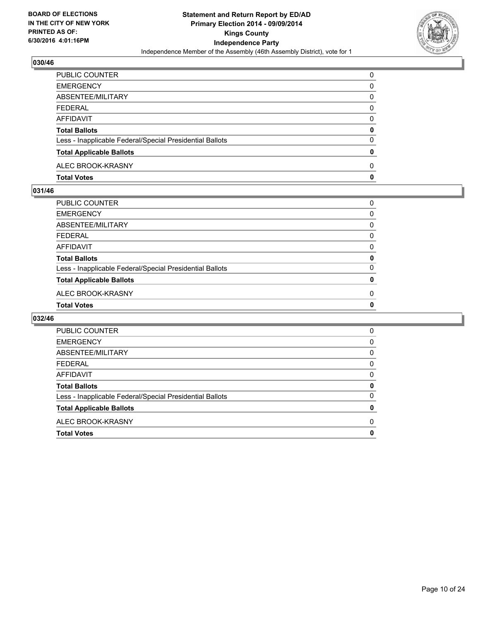

| <b>PUBLIC COUNTER</b>                                    | $\Omega$ |
|----------------------------------------------------------|----------|
| <b>EMERGENCY</b>                                         | 0        |
| ABSENTEE/MILITARY                                        | 0        |
| FEDERAL                                                  | 0        |
| AFFIDAVIT                                                | 0        |
| <b>Total Ballots</b>                                     | 0        |
| Less - Inapplicable Federal/Special Presidential Ballots | $\Omega$ |
| <b>Total Applicable Ballots</b>                          | 0        |
| ALEC BROOK-KRASNY                                        | 0        |
| <b>Total Votes</b>                                       | 0        |

#### **031/46**

| PUBLIC COUNTER                                           | 0 |
|----------------------------------------------------------|---|
| EMERGENCY                                                | 0 |
| ABSENTEE/MILITARY                                        | 0 |
| FEDERAL                                                  | 0 |
| AFFIDAVIT                                                | 0 |
| <b>Total Ballots</b>                                     | 0 |
| Less - Inapplicable Federal/Special Presidential Ballots | 0 |
| <b>Total Applicable Ballots</b>                          | 0 |
| ALEC BROOK-KRASNY                                        | 0 |
| <b>Total Votes</b>                                       | 0 |

| <b>PUBLIC COUNTER</b>                                    | 0 |
|----------------------------------------------------------|---|
| <b>EMERGENCY</b>                                         | 0 |
| ABSENTEE/MILITARY                                        | 0 |
| FEDERAL                                                  | 0 |
| AFFIDAVIT                                                | 0 |
| <b>Total Ballots</b>                                     | 0 |
| Less - Inapplicable Federal/Special Presidential Ballots | 0 |
| <b>Total Applicable Ballots</b>                          | 0 |
| ALEC BROOK-KRASNY                                        | 0 |
| <b>Total Votes</b>                                       | 0 |
|                                                          |   |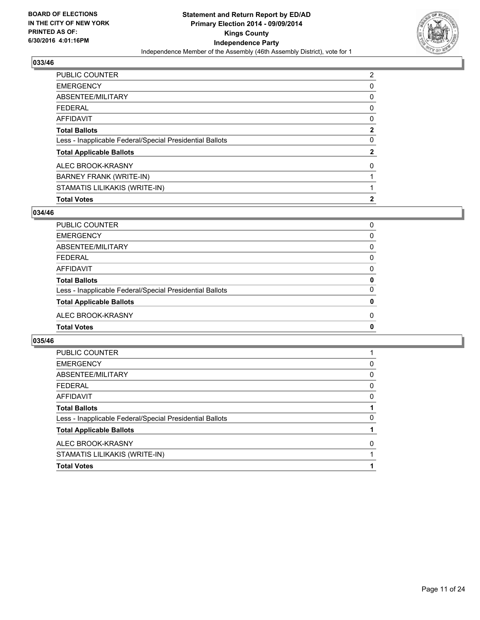

| PUBLIC COUNTER                                           | 2            |
|----------------------------------------------------------|--------------|
| <b>EMERGENCY</b>                                         | 0            |
| ABSENTEE/MILITARY                                        | 0            |
| <b>FEDERAL</b>                                           | 0            |
| <b>AFFIDAVIT</b>                                         | 0            |
| <b>Total Ballots</b>                                     | $\mathbf{2}$ |
| Less - Inapplicable Federal/Special Presidential Ballots | 0            |
| <b>Total Applicable Ballots</b>                          | $\mathbf{2}$ |
| ALEC BROOK-KRASNY                                        | 0            |
| <b>BARNEY FRANK (WRITE-IN)</b>                           |              |
| STAMATIS LILIKAKIS (WRITE-IN)                            |              |
| <b>Total Votes</b>                                       | $\mathbf{2}$ |

#### **034/46**

| PUBLIC COUNTER                                           | 0        |
|----------------------------------------------------------|----------|
| <b>EMERGENCY</b>                                         | 0        |
| ABSENTEE/MILITARY                                        | 0        |
| <b>FEDERAL</b>                                           | 0        |
| <b>AFFIDAVIT</b>                                         | 0        |
| <b>Total Ballots</b>                                     | 0        |
| Less - Inapplicable Federal/Special Presidential Ballots | 0        |
| <b>Total Applicable Ballots</b>                          | 0        |
| ALEC BROOK-KRASNY                                        | $\Omega$ |
| <b>Total Votes</b>                                       | 0        |
|                                                          |          |

| 0 |
|---|
| 0 |
| 0 |
| 0 |
|   |
| 0 |
|   |
| 0 |
|   |
|   |
|   |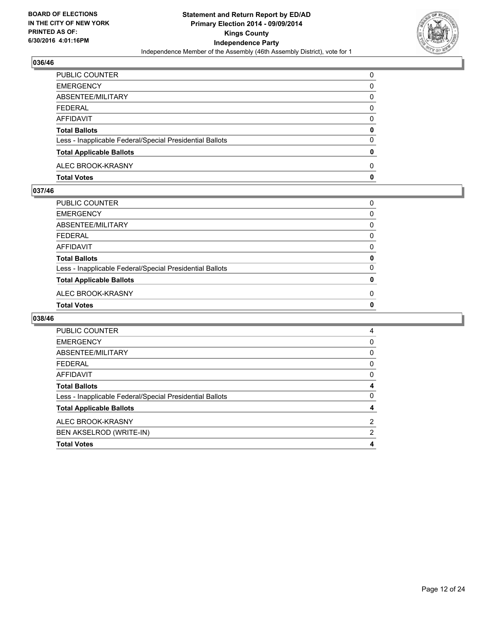

| <b>PUBLIC COUNTER</b>                                    | 0        |
|----------------------------------------------------------|----------|
| <b>EMERGENCY</b>                                         | 0        |
| ABSENTEE/MILITARY                                        | 0        |
| FEDERAL                                                  | 0        |
| AFFIDAVIT                                                | 0        |
| <b>Total Ballots</b>                                     | 0        |
| Less - Inapplicable Federal/Special Presidential Ballots | 0        |
| <b>Total Applicable Ballots</b>                          | 0        |
| ALEC BROOK-KRASNY                                        | $\Omega$ |
| <b>Total Votes</b>                                       | 0        |

## **037/46**

| 0        |
|----------|
| 0        |
| 0        |
| $\Omega$ |
| 0        |
| 0        |
| 0        |
| 0        |
| 0        |
| 0        |
|          |

| PUBLIC COUNTER                                           | 4 |
|----------------------------------------------------------|---|
| <b>EMERGENCY</b>                                         | 0 |
| ABSENTEE/MILITARY                                        | 0 |
| <b>FEDERAL</b>                                           | 0 |
| <b>AFFIDAVIT</b>                                         | 0 |
| <b>Total Ballots</b>                                     | 4 |
| Less - Inapplicable Federal/Special Presidential Ballots | 0 |
| <b>Total Applicable Ballots</b>                          | 4 |
| ALEC BROOK-KRASNY                                        | 2 |
| BEN AKSELROD (WRITE-IN)                                  | 2 |
| <b>Total Votes</b>                                       | 4 |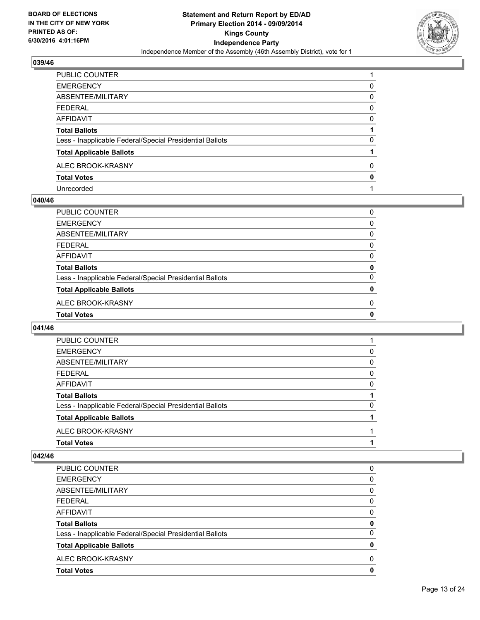

| PUBLIC COUNTER                                           |   |
|----------------------------------------------------------|---|
| EMERGENCY                                                | 0 |
| ABSENTEE/MILITARY                                        | 0 |
| FEDERAL                                                  | 0 |
| AFFIDAVIT                                                | 0 |
| Total Ballots                                            |   |
| Less - Inapplicable Federal/Special Presidential Ballots | 0 |
| <b>Total Applicable Ballots</b>                          |   |
| ALEC BROOK-KRASNY                                        | 0 |
| <b>Total Votes</b>                                       | 0 |
| Unrecorded                                               |   |

#### **040/46**

| <b>Total Votes</b>                                       | 0 |
|----------------------------------------------------------|---|
| ALEC BROOK-KRASNY                                        | 0 |
| <b>Total Applicable Ballots</b>                          | 0 |
| Less - Inapplicable Federal/Special Presidential Ballots | 0 |
| <b>Total Ballots</b>                                     | 0 |
| <b>AFFIDAVIT</b>                                         | 0 |
| <b>FEDERAL</b>                                           | 0 |
| ABSENTEE/MILITARY                                        | 0 |
| <b>EMERGENCY</b>                                         | 0 |
| PUBLIC COUNTER                                           | 0 |
|                                                          |   |

## **041/46**

| PUBLIC COUNTER                                           |          |
|----------------------------------------------------------|----------|
| <b>EMERGENCY</b>                                         | 0        |
| ABSENTEE/MILITARY                                        | 0        |
| <b>FEDERAL</b>                                           | 0        |
| <b>AFFIDAVIT</b>                                         | 0        |
| <b>Total Ballots</b>                                     |          |
| Less - Inapplicable Federal/Special Presidential Ballots | $\Omega$ |
| <b>Total Applicable Ballots</b>                          |          |
| ALEC BROOK-KRASNY                                        |          |
| <b>Total Votes</b>                                       |          |

| PUBLIC COUNTER                                           | 0        |
|----------------------------------------------------------|----------|
| <b>EMERGENCY</b>                                         | 0        |
| ABSENTEE/MILITARY                                        | 0        |
| <b>FEDERAL</b>                                           | $\Omega$ |
| AFFIDAVIT                                                | 0        |
| <b>Total Ballots</b>                                     | 0        |
| Less - Inapplicable Federal/Special Presidential Ballots | 0        |
| <b>Total Applicable Ballots</b>                          | 0        |
| ALEC BROOK-KRASNY                                        | 0        |
| <b>Total Votes</b>                                       | 0        |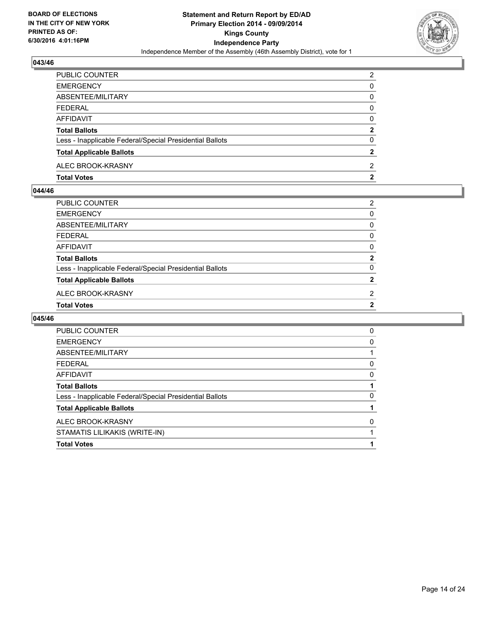

| PUBLIC COUNTER                                           | 2            |
|----------------------------------------------------------|--------------|
| <b>EMERGENCY</b>                                         | 0            |
| ABSENTEE/MILITARY                                        | 0            |
| <b>FEDERAL</b>                                           | 0            |
| <b>AFFIDAVIT</b>                                         | 0            |
| <b>Total Ballots</b>                                     | $\mathbf{2}$ |
| Less - Inapplicable Federal/Special Presidential Ballots | 0            |
| <b>Total Applicable Ballots</b>                          | 2            |
| ALEC BROOK-KRASNY                                        | 2            |
| <b>Total Votes</b>                                       | 2            |

#### **044/46**

| 2            |
|--------------|
| 0            |
| 0            |
| $\Omega$     |
| 0            |
| $\mathbf{2}$ |
| 0            |
| $\mathbf{2}$ |
| 2            |
| $\mathbf{2}$ |
|              |

| <b>PUBLIC COUNTER</b>                                    | 0 |
|----------------------------------------------------------|---|
| <b>EMERGENCY</b>                                         | 0 |
| ABSENTEE/MILITARY                                        |   |
| <b>FEDERAL</b>                                           | 0 |
| AFFIDAVIT                                                | 0 |
| <b>Total Ballots</b>                                     |   |
| Less - Inapplicable Federal/Special Presidential Ballots | 0 |
| <b>Total Applicable Ballots</b>                          |   |
| ALEC BROOK-KRASNY                                        | 0 |
| STAMATIS LILIKAKIS (WRITE-IN)                            |   |
| <b>Total Votes</b>                                       |   |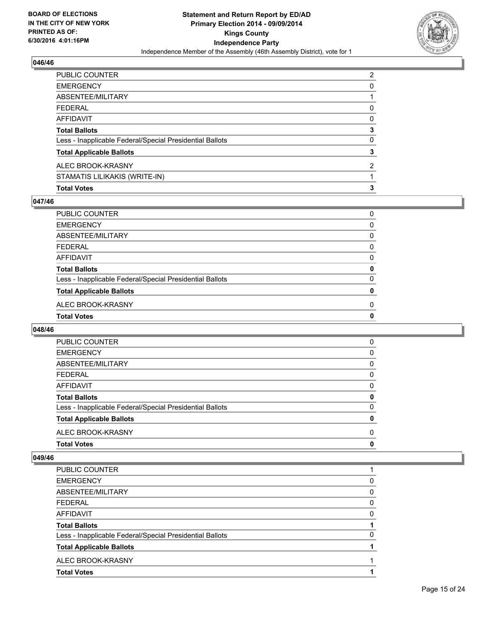

| <b>Total Votes</b>                                       | 3 |
|----------------------------------------------------------|---|
| STAMATIS LILIKAKIS (WRITE-IN)                            |   |
| ALEC BROOK-KRASNY                                        | 2 |
| <b>Total Applicable Ballots</b>                          | 3 |
| Less - Inapplicable Federal/Special Presidential Ballots | 0 |
| <b>Total Ballots</b>                                     | 3 |
| AFFIDAVIT                                                | 0 |
| <b>FEDERAL</b>                                           | 0 |
| <b>ABSENTEE/MILITARY</b>                                 |   |
| <b>EMERGENCY</b>                                         | 0 |
| PUBLIC COUNTER                                           | 2 |

#### **047/46**

| PUBLIC COUNTER                                           | 0        |
|----------------------------------------------------------|----------|
| <b>EMERGENCY</b>                                         | 0        |
| ABSENTEE/MILITARY                                        | $\Omega$ |
| <b>FEDERAL</b>                                           | 0        |
| AFFIDAVIT                                                | 0        |
| <b>Total Ballots</b>                                     | 0        |
| Less - Inapplicable Federal/Special Presidential Ballots | 0        |
| <b>Total Applicable Ballots</b>                          | 0        |
| ALEC BROOK-KRASNY                                        | 0        |
| <b>Total Votes</b>                                       | 0        |
|                                                          |          |

#### **048/46**

| <b>Total Votes</b>                                       | 0        |
|----------------------------------------------------------|----------|
| ALEC BROOK-KRASNY                                        | 0        |
| <b>Total Applicable Ballots</b>                          | 0        |
| Less - Inapplicable Federal/Special Presidential Ballots | $\Omega$ |
| <b>Total Ballots</b>                                     | 0        |
| AFFIDAVIT                                                | 0        |
| <b>FEDERAL</b>                                           | 0        |
| ABSENTEE/MILITARY                                        | 0        |
| <b>EMERGENCY</b>                                         | 0        |
| <b>PUBLIC COUNTER</b>                                    | 0        |

| <b>PUBLIC COUNTER</b>                                    |   |
|----------------------------------------------------------|---|
| <b>EMERGENCY</b>                                         | 0 |
| ABSENTEE/MILITARY                                        | 0 |
| <b>FEDERAL</b>                                           | 0 |
| AFFIDAVIT                                                | 0 |
| <b>Total Ballots</b>                                     |   |
| Less - Inapplicable Federal/Special Presidential Ballots | O |
| <b>Total Applicable Ballots</b>                          |   |
| ALEC BROOK-KRASNY                                        |   |
| <b>Total Votes</b>                                       |   |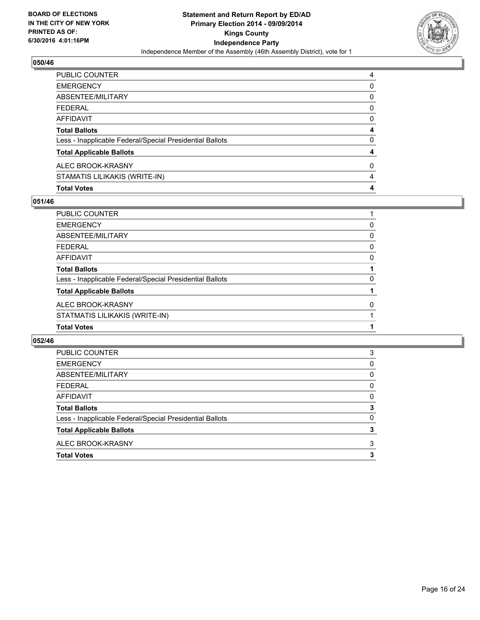

| <b>Total Votes</b>                                       | 4 |
|----------------------------------------------------------|---|
| STAMATIS LILIKAKIS (WRITE-IN)                            | 4 |
| ALEC BROOK-KRASNY                                        | 0 |
| <b>Total Applicable Ballots</b>                          | 4 |
| Less - Inapplicable Federal/Special Presidential Ballots | 0 |
| <b>Total Ballots</b>                                     | 4 |
| <b>AFFIDAVIT</b>                                         | 0 |
| <b>FEDERAL</b>                                           | 0 |
| ABSENTEE/MILITARY                                        | 0 |
| <b>EMERGENCY</b>                                         | 0 |
| PUBLIC COUNTER                                           | 4 |

## **051/46**

| PUBLIC COUNTER                                           |   |
|----------------------------------------------------------|---|
| <b>EMERGENCY</b>                                         | 0 |
| <b>ABSENTEE/MILITARY</b>                                 | 0 |
| <b>FEDERAL</b>                                           | 0 |
| <b>AFFIDAVIT</b>                                         | 0 |
| <b>Total Ballots</b>                                     |   |
| Less - Inapplicable Federal/Special Presidential Ballots | 0 |
| <b>Total Applicable Ballots</b>                          |   |
| ALEC BROOK-KRASNY                                        | 0 |
| STATMATIS LILIKAKIS (WRITE-IN)                           |   |
| <b>Total Votes</b>                                       |   |

| <b>Total Votes</b>                                       | 3        |
|----------------------------------------------------------|----------|
| ALEC BROOK-KRASNY                                        | 3        |
| <b>Total Applicable Ballots</b>                          | 3        |
| Less - Inapplicable Federal/Special Presidential Ballots | $\Omega$ |
| <b>Total Ballots</b>                                     | 3        |
| AFFIDAVIT                                                | $\Omega$ |
| <b>FEDERAL</b>                                           | 0        |
| ABSENTEE/MILITARY                                        | 0        |
| <b>EMERGENCY</b>                                         | 0        |
| PUBLIC COUNTER                                           | 3        |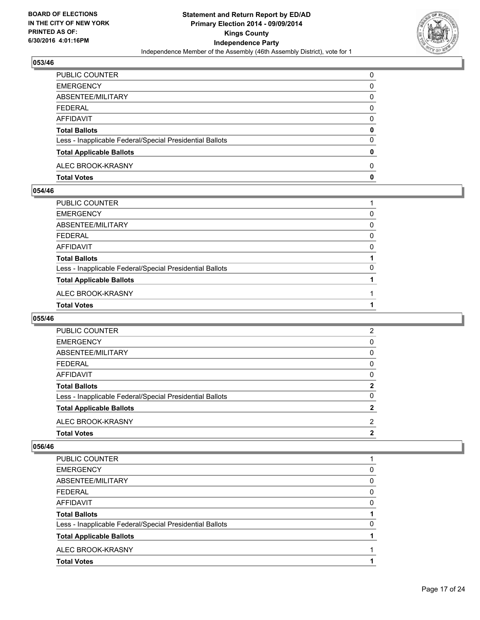

| PUBLIC COUNTER                                           | 0 |
|----------------------------------------------------------|---|
| <b>EMERGENCY</b>                                         | 0 |
| ABSENTEE/MILITARY                                        | 0 |
| FEDERAL                                                  | 0 |
| AFFIDAVIT                                                | 0 |
| <b>Total Ballots</b>                                     | 0 |
| Less - Inapplicable Federal/Special Presidential Ballots | 0 |
| <b>Total Applicable Ballots</b>                          | 0 |
| ALEC BROOK-KRASNY                                        | 0 |
| <b>Total Votes</b>                                       | 0 |

## **054/46**

| PUBLIC COUNTER                                           |   |
|----------------------------------------------------------|---|
| EMERGENCY                                                | 0 |
| ABSENTEE/MILITARY                                        | 0 |
| FEDERAL                                                  | 0 |
| AFFIDAVIT                                                | 0 |
| <b>Total Ballots</b>                                     |   |
| Less - Inapplicable Federal/Special Presidential Ballots | 0 |
| <b>Total Applicable Ballots</b>                          |   |
| ALEC BROOK-KRASNY                                        |   |
| <b>Total Votes</b>                                       |   |
|                                                          |   |

## **055/46**

| <b>Total Votes</b>                                       | 2              |
|----------------------------------------------------------|----------------|
| ALEC BROOK-KRASNY                                        | 2              |
| <b>Total Applicable Ballots</b>                          | $\mathbf{2}$   |
| Less - Inapplicable Federal/Special Presidential Ballots | 0              |
| <b>Total Ballots</b>                                     | $\mathbf{2}$   |
| AFFIDAVIT                                                | 0              |
| <b>FEDERAL</b>                                           | 0              |
| ABSENTEE/MILITARY                                        | 0              |
| <b>EMERGENCY</b>                                         | 0              |
| PUBLIC COUNTER                                           | $\overline{2}$ |

| PUBLIC COUNTER                                           |          |
|----------------------------------------------------------|----------|
| <b>EMERGENCY</b>                                         | 0        |
| ABSENTEE/MILITARY                                        | 0        |
| <b>FEDERAL</b>                                           | $\Omega$ |
| <b>AFFIDAVIT</b>                                         | $\Omega$ |
| <b>Total Ballots</b>                                     |          |
|                                                          | 0        |
| Less - Inapplicable Federal/Special Presidential Ballots |          |
| <b>Total Applicable Ballots</b>                          |          |
| ALEC BROOK-KRASNY                                        |          |
| <b>Total Votes</b>                                       |          |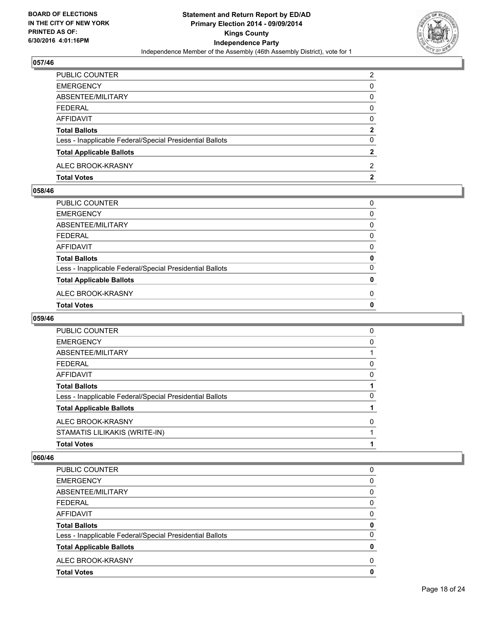

| PUBLIC COUNTER                                           | 2            |
|----------------------------------------------------------|--------------|
| <b>EMERGENCY</b>                                         | 0            |
| ABSENTEE/MILITARY                                        | 0            |
| FEDERAL                                                  | 0            |
| AFFIDAVIT                                                | 0            |
| <b>Total Ballots</b>                                     | $\mathbf{2}$ |
| Less - Inapplicable Federal/Special Presidential Ballots | 0            |
| <b>Total Applicable Ballots</b>                          | 2            |
| ALEC BROOK-KRASNY                                        | 2            |
| <b>Total Votes</b>                                       | 2            |

## **058/46**

| PUBLIC COUNTER                                           | 0 |
|----------------------------------------------------------|---|
| EMERGENCY                                                | 0 |
| ABSENTEE/MILITARY                                        | 0 |
| FEDERAL                                                  | 0 |
| AFFIDAVIT                                                | 0 |
| Total Ballots                                            | 0 |
| Less - Inapplicable Federal/Special Presidential Ballots | 0 |
| <b>Total Applicable Ballots</b>                          | 0 |
| ALEC BROOK-KRASNY                                        | 0 |
| <b>Total Votes</b>                                       | 0 |
|                                                          |   |

## **059/46**

| PUBLIC COUNTER                                           | 0 |
|----------------------------------------------------------|---|
| <b>EMERGENCY</b>                                         | 0 |
| ABSENTEE/MILITARY                                        |   |
| <b>FEDERAL</b>                                           | 0 |
| <b>AFFIDAVIT</b>                                         | 0 |
| <b>Total Ballots</b>                                     |   |
| Less - Inapplicable Federal/Special Presidential Ballots | 0 |
| <b>Total Applicable Ballots</b>                          |   |
| ALEC BROOK-KRASNY                                        | 0 |
| STAMATIS LILIKAKIS (WRITE-IN)                            |   |
| <b>Total Votes</b>                                       |   |

| 0        |
|----------|
| 0        |
| $\Omega$ |
| 0        |
| 0        |
| 0        |
| $\Omega$ |
| 0        |
| 0        |
| 0        |
|          |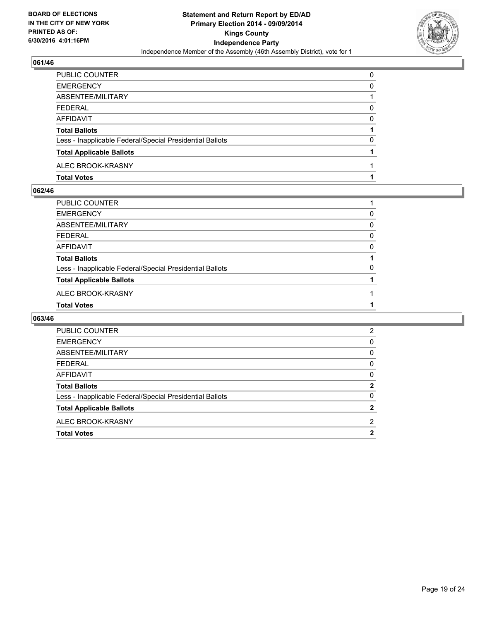

| PUBLIC COUNTER                                           | 0 |
|----------------------------------------------------------|---|
| <b>EMERGENCY</b>                                         | 0 |
| ABSENTEE/MILITARY                                        |   |
| <b>FEDERAL</b>                                           | 0 |
| <b>AFFIDAVIT</b>                                         | 0 |
| <b>Total Ballots</b>                                     |   |
| Less - Inapplicable Federal/Special Presidential Ballots | 0 |
| <b>Total Applicable Ballots</b>                          |   |
| ALEC BROOK-KRASNY                                        |   |
| <b>Total Votes</b>                                       |   |

#### **062/46**

| PUBLIC COUNTER                                           |   |
|----------------------------------------------------------|---|
| EMERGENCY                                                | 0 |
| ABSENTEE/MILITARY                                        | 0 |
| FEDERAL                                                  | 0 |
| AFFIDAVIT                                                | 0 |
| <b>Total Ballots</b>                                     |   |
| Less - Inapplicable Federal/Special Presidential Ballots | 0 |
| <b>Total Applicable Ballots</b>                          |   |
| ALEC BROOK-KRASNY                                        |   |
| <b>Total Votes</b>                                       |   |

| <b>PUBLIC COUNTER</b>                                    | 2 |
|----------------------------------------------------------|---|
| <b>EMERGENCY</b>                                         | 0 |
| ABSENTEE/MILITARY                                        | 0 |
| <b>FFDFRAI</b>                                           | 0 |
| AFFIDAVIT                                                | 0 |
| <b>Total Ballots</b>                                     | 2 |
| Less - Inapplicable Federal/Special Presidential Ballots | 0 |
| <b>Total Applicable Ballots</b>                          | 2 |
| ALEC BROOK-KRASNY                                        | 2 |
| <b>Total Votes</b>                                       | 2 |
|                                                          |   |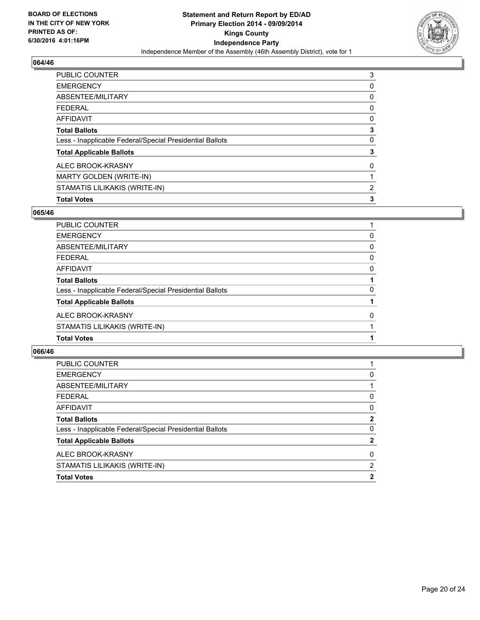

| <b>PUBLIC COUNTER</b>                                    | 3 |
|----------------------------------------------------------|---|
| <b>EMERGENCY</b>                                         | 0 |
| ABSENTEE/MILITARY                                        | 0 |
| <b>FEDERAL</b>                                           | 0 |
| <b>AFFIDAVIT</b>                                         | 0 |
| <b>Total Ballots</b>                                     | 3 |
| Less - Inapplicable Federal/Special Presidential Ballots | 0 |
| <b>Total Applicable Ballots</b>                          | 3 |
| ALEC BROOK-KRASNY                                        | 0 |
| <b>MARTY GOLDEN (WRITE-IN)</b>                           |   |
| STAMATIS LILIKAKIS (WRITE-IN)                            | 2 |
| <b>Total Votes</b>                                       | 3 |

#### **065/46**

| PUBLIC COUNTER                                           |          |
|----------------------------------------------------------|----------|
| <b>EMERGENCY</b>                                         | 0        |
| ABSENTEE/MILITARY                                        | 0        |
| <b>FEDERAL</b>                                           | 0        |
| <b>AFFIDAVIT</b>                                         | 0        |
| <b>Total Ballots</b>                                     |          |
| Less - Inapplicable Federal/Special Presidential Ballots | 0        |
| <b>Total Applicable Ballots</b>                          |          |
| ALEC BROOK-KRASNY                                        | $\Omega$ |
| STAMATIS LILIKAKIS (WRITE-IN)                            |          |
| <b>Total Votes</b>                                       |          |

| <b>EMERGENCY</b><br>0<br>ABSENTEE/MILITARY<br><b>FEDERAL</b><br>0<br><b>AFFIDAVIT</b><br>0<br>$\mathbf{2}$<br><b>Total Ballots</b><br>0<br>Less - Inapplicable Federal/Special Presidential Ballots<br><b>Total Applicable Ballots</b><br>ALEC BROOK-KRASNY<br>0<br>STAMATIS LILIKAKIS (WRITE-IN)<br>2<br><b>Total Votes</b><br>2 | PUBLIC COUNTER |              |
|-----------------------------------------------------------------------------------------------------------------------------------------------------------------------------------------------------------------------------------------------------------------------------------------------------------------------------------|----------------|--------------|
|                                                                                                                                                                                                                                                                                                                                   |                |              |
|                                                                                                                                                                                                                                                                                                                                   |                |              |
|                                                                                                                                                                                                                                                                                                                                   |                |              |
|                                                                                                                                                                                                                                                                                                                                   |                |              |
|                                                                                                                                                                                                                                                                                                                                   |                |              |
|                                                                                                                                                                                                                                                                                                                                   |                |              |
|                                                                                                                                                                                                                                                                                                                                   |                | $\mathbf{2}$ |
|                                                                                                                                                                                                                                                                                                                                   |                |              |
|                                                                                                                                                                                                                                                                                                                                   |                |              |
|                                                                                                                                                                                                                                                                                                                                   |                |              |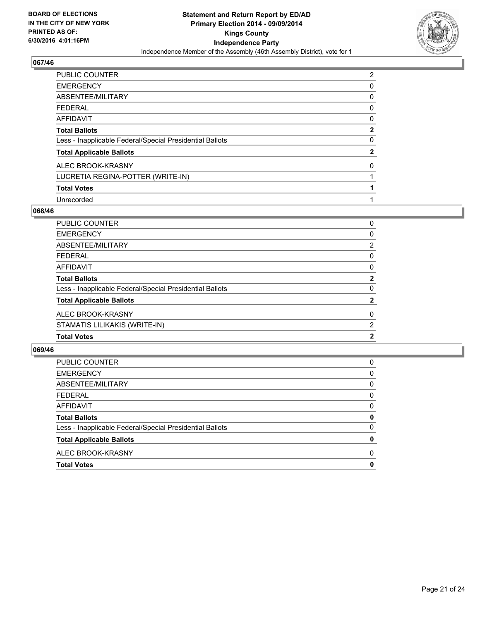

| <b>PUBLIC COUNTER</b>                                    | 2            |
|----------------------------------------------------------|--------------|
| <b>EMERGENCY</b>                                         | 0            |
| ABSENTEE/MILITARY                                        | 0            |
| <b>FEDERAL</b>                                           | 0            |
| <b>AFFIDAVIT</b>                                         | 0            |
| <b>Total Ballots</b>                                     | 2            |
| Less - Inapplicable Federal/Special Presidential Ballots | 0            |
| <b>Total Applicable Ballots</b>                          | $\mathbf{2}$ |
| ALEC BROOK-KRASNY                                        | 0            |
| LUCRETIA REGINA-POTTER (WRITE-IN)                        |              |
| <b>Total Votes</b>                                       |              |
| Unrecorded                                               |              |

#### **068/46**

| PUBLIC COUNTER                                           | 0              |
|----------------------------------------------------------|----------------|
| EMERGENCY                                                | 0              |
| ABSENTEE/MILITARY                                        | $\overline{2}$ |
| FEDERAL                                                  | 0              |
| AFFIDAVIT                                                | 0              |
| <b>Total Ballots</b>                                     | $\mathbf{2}$   |
| Less - Inapplicable Federal/Special Presidential Ballots | 0              |
| <b>Total Applicable Ballots</b>                          | $\mathbf{2}$   |
| ALEC BROOK-KRASNY                                        | 0              |
| STAMATIS LILIKAKIS (WRITE-IN)                            | $\overline{2}$ |
| <b>Total Votes</b>                                       | $\mathbf{2}$   |
|                                                          |                |

| <b>Total Votes</b>                                       | 0 |
|----------------------------------------------------------|---|
| ALEC BROOK-KRASNY                                        | 0 |
| <b>Total Applicable Ballots</b>                          | 0 |
| Less - Inapplicable Federal/Special Presidential Ballots | 0 |
| <b>Total Ballots</b>                                     | 0 |
| <b>AFFIDAVIT</b>                                         | 0 |
| <b>FEDERAL</b>                                           | 0 |
| ABSENTEE/MILITARY                                        | 0 |
| <b>EMERGENCY</b>                                         | 0 |
| PUBLIC COUNTER                                           | 0 |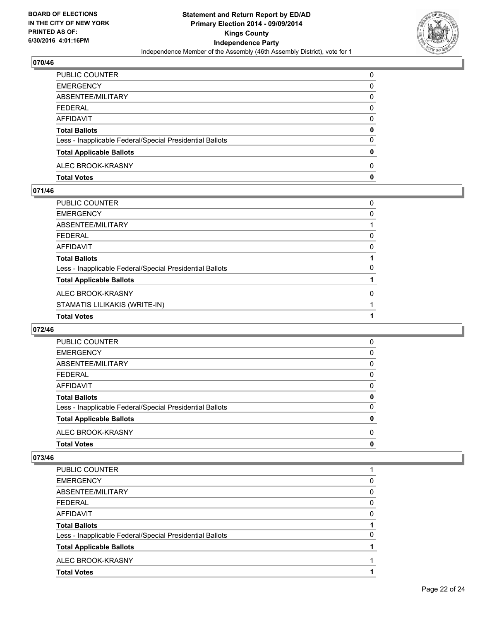

| PUBLIC COUNTER                                           | 0        |
|----------------------------------------------------------|----------|
| <b>EMERGENCY</b>                                         | 0        |
| ABSENTEE/MILITARY                                        | 0        |
| <b>FEDERAL</b>                                           | 0        |
| <b>AFFIDAVIT</b>                                         | 0        |
| <b>Total Ballots</b>                                     | 0        |
| Less - Inapplicable Federal/Special Presidential Ballots | 0        |
| <b>Total Applicable Ballots</b>                          | 0        |
| ALEC BROOK-KRASNY                                        | $\Omega$ |
| <b>Total Votes</b>                                       | 0        |

## **071/46**

| <b>Total Votes</b>                                       |   |
|----------------------------------------------------------|---|
| STAMATIS LILIKAKIS (WRITE-IN)                            |   |
| ALEC BROOK-KRASNY                                        | 0 |
| <b>Total Applicable Ballots</b>                          |   |
| Less - Inapplicable Federal/Special Presidential Ballots | 0 |
| <b>Total Ballots</b>                                     |   |
| <b>AFFIDAVIT</b>                                         | 0 |
| <b>FEDERAL</b>                                           | 0 |
| ABSENTEE/MILITARY                                        |   |
| <b>EMERGENCY</b>                                         | 0 |
| PUBLIC COUNTER                                           | 0 |

## **072/46**

| <b>Total Votes</b>                                       | 0        |
|----------------------------------------------------------|----------|
| ALEC BROOK-KRASNY                                        | 0        |
| <b>Total Applicable Ballots</b>                          | 0        |
| Less - Inapplicable Federal/Special Presidential Ballots | $\Omega$ |
| <b>Total Ballots</b>                                     | 0        |
| AFFIDAVIT                                                | 0        |
| <b>FEDERAL</b>                                           | 0        |
| ABSENTEE/MILITARY                                        | 0        |
| <b>EMERGENCY</b>                                         | 0        |
| <b>PUBLIC COUNTER</b>                                    | 0        |

| <b>PUBLIC COUNTER</b>                                    |   |
|----------------------------------------------------------|---|
| <b>EMERGENCY</b>                                         | 0 |
| ABSENTEE/MILITARY                                        | 0 |
| <b>FEDERAL</b>                                           | 0 |
| AFFIDAVIT                                                | 0 |
| <b>Total Ballots</b>                                     |   |
| Less - Inapplicable Federal/Special Presidential Ballots | O |
| <b>Total Applicable Ballots</b>                          |   |
| ALEC BROOK-KRASNY                                        |   |
| <b>Total Votes</b>                                       |   |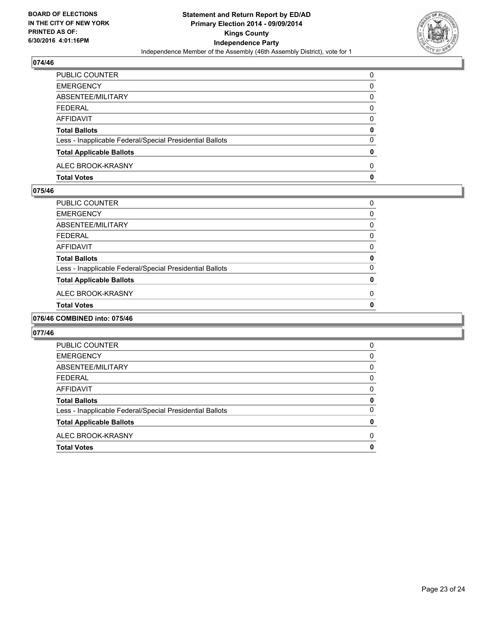

| PUBLIC COUNTER                                           | 0        |
|----------------------------------------------------------|----------|
| <b>EMERGENCY</b>                                         | 0        |
| ABSENTEE/MILITARY                                        | 0        |
| <b>FEDERAL</b>                                           | 0        |
| <b>AFFIDAVIT</b>                                         | 0        |
| <b>Total Ballots</b>                                     | 0        |
| Less - Inapplicable Federal/Special Presidential Ballots | 0        |
| <b>Total Applicable Ballots</b>                          | 0        |
| ALEC BROOK-KRASNY                                        | $\Omega$ |
| <b>Total Votes</b>                                       | 0        |

## **075/46**

| PUBLIC COUNTER                                           | 0 |
|----------------------------------------------------------|---|
| EMERGENCY                                                | 0 |
| ABSENTEE/MILITARY                                        | 0 |
| FEDERAL                                                  | 0 |
| AFFIDAVIT                                                | 0 |
| <b>Total Ballots</b>                                     | 0 |
| Less - Inapplicable Federal/Special Presidential Ballots | 0 |
| <b>Total Applicable Ballots</b>                          | 0 |
| ALEC BROOK-KRASNY                                        | 0 |
| <b>Total Votes</b>                                       | 0 |
|                                                          |   |

## **076/46 COMBINED into: 075/46**

| <b>Total Votes</b>                                       | 0        |
|----------------------------------------------------------|----------|
| ALEC BROOK-KRASNY                                        | 0        |
| <b>Total Applicable Ballots</b>                          | 0        |
| Less - Inapplicable Federal/Special Presidential Ballots | 0        |
| <b>Total Ballots</b>                                     | 0        |
| AFFIDAVIT                                                | 0        |
| <b>FEDERAL</b>                                           | 0        |
| ABSENTEE/MILITARY                                        | $\Omega$ |
| <b>EMERGENCY</b>                                         | 0        |
| PUBLIC COUNTER                                           | 0        |